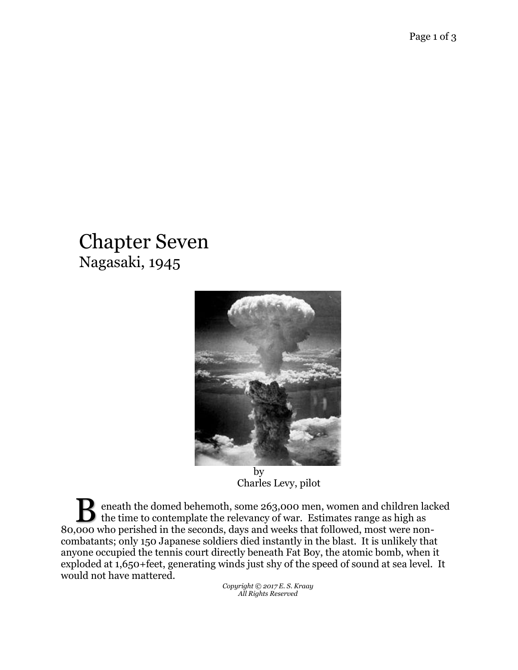## Chapter Seven Nagasaki, 1945



by Charles Levy, pilot

eneath the domed behemoth, some 263,000 men, women and children lacked **the time to contemplate the relevancy of war.** Estimates range as high as a secondary problem in the secondary development of the following mentions are as  $\frac{1}{2}$ 80,000 who perished in the seconds, days and weeks that followed, most were noncombatants; only 150 Japanese soldiers died instantly in the blast. It is unlikely that anyone occupied the tennis court directly beneath Fat Boy, the atomic bomb, when it exploded at 1,650+feet, generating winds just shy of the speed of sound at sea level. It would not have mattered.

*Copyright © 2017 E. S. Kraay All Rights Reserved*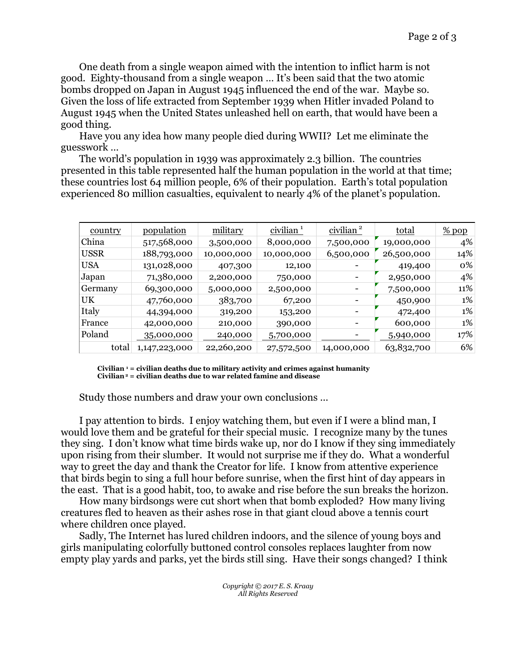One death from a single weapon aimed with the intention to inflict harm is not good. Eighty-thousand from a single weapon … It's been said that the two atomic bombs dropped on Japan in August 1945 influenced the end of the war. Maybe so. Given the loss of life extracted from September 1939 when Hitler invaded Poland to August 1945 when the United States unleashed hell on earth, that would have been a good thing.

Have you any idea how many people died during WWII? Let me eliminate the guesswork …

The world's population in 1939 was approximately 2.3 billion. The countries presented in this table represented half the human population in the world at that time; these countries lost 64 million people, 6% of their population. Earth's total population experienced 80 million casualties, equivalent to nearly 4% of the planet's population.

| country     | <u>population</u> | military   | $\frac{\text{civilian}^1}{\text{civilian}}$ | civilian <sup>2</sup>    | <u>total</u> | $%$ pop |
|-------------|-------------------|------------|---------------------------------------------|--------------------------|--------------|---------|
| China       | 517,568,000       | 3,500,000  | 8,000,000                                   | 7,500,000                | 19,000,000   | 4%      |
| <b>USSR</b> | 188,793,000       | 10,000,000 | 10,000,000                                  | 6,500,000                | 26,500,000   | 14%     |
| <b>USA</b>  | 131,028,000       | 407,300    | 12,100                                      |                          | 419,400      | $0\%$   |
| Japan       | 71,380,000        | 2,200,000  | 750,000                                     | $\overline{\phantom{a}}$ | 2,950,000    | 4%      |
| Germany     | 69,300,000        | 5,000,000  | 2,500,000                                   |                          | 7,500,000    | 11%     |
| UK.         | 47,760,000        | 383,700    | 67,200                                      | $\overline{\phantom{a}}$ | 450,900      | 1%      |
| Italy       | 44,394,000        | 319,200    | 153,200                                     | $\overline{\phantom{a}}$ | 472,400      | $1\%$   |
| France      | 42,000,000        | 210,000    | 390,000                                     | $\qquad \qquad$          | 600,000      | 1%      |
| Poland      | 35,000,000        | 240,000    | 5,700,000                                   |                          | 5,940,000    | 17%     |
| total       | 1,147,223,000     | 22,260,200 | 27,572,500                                  | 14,000,000               | 63,832,700   | 6%      |

**Civilian <sup>1</sup> = civilian deaths due to military activity and crimes against humanity Civilian<sup>2</sup> = civilian deaths due to war related famine and disease**

Study those numbers and draw your own conclusions …

I pay attention to birds. I enjoy watching them, but even if I were a blind man, I would love them and be grateful for their special music. I recognize many by the tunes they sing. I don't know what time birds wake up, nor do I know if they sing immediately upon rising from their slumber. It would not surprise me if they do. What a wonderful way to greet the day and thank the Creator for life. I know from attentive experience that birds begin to sing a full hour before sunrise, when the first hint of day appears in the east. That is a good habit, too, to awake and rise before the sun breaks the horizon.

How many birdsongs were cut short when that bomb exploded? How many living creatures fled to heaven as their ashes rose in that giant cloud above a tennis court where children once played.

Sadly, The Internet has lured children indoors, and the silence of young boys and girls manipulating colorfully buttoned control consoles replaces laughter from now empty play yards and parks, yet the birds still sing. Have their songs changed? I think